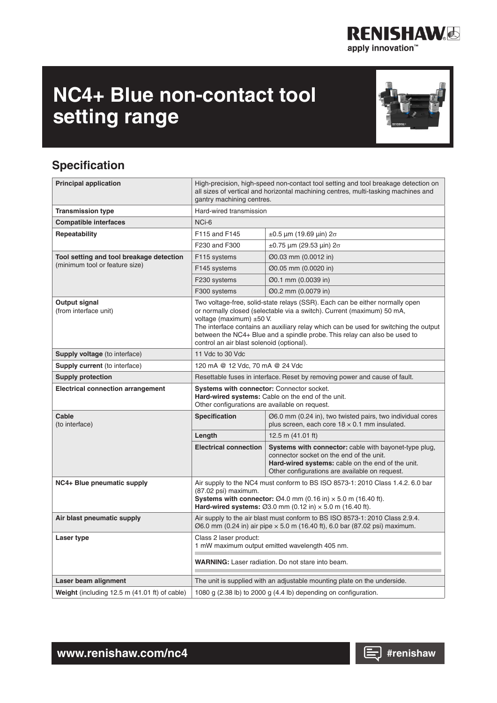# **NC4+ Blue non-contact tool setting range**

# **Specification**

| <b>Principal application</b>             | High-precision, high-speed non-contact tool setting and tool breakage detection on<br>all sizes of vertical and horizontal machining centres, multi-tasking machines and<br>gantry machining centres.                                                                                                                                                                                                |                                                                                                                                                                                                                                                      |  |
|------------------------------------------|------------------------------------------------------------------------------------------------------------------------------------------------------------------------------------------------------------------------------------------------------------------------------------------------------------------------------------------------------------------------------------------------------|------------------------------------------------------------------------------------------------------------------------------------------------------------------------------------------------------------------------------------------------------|--|
| <b>Transmission type</b>                 | Hard-wired transmission                                                                                                                                                                                                                                                                                                                                                                              |                                                                                                                                                                                                                                                      |  |
| <b>Compatible interfaces</b>             | NCi-6                                                                                                                                                                                                                                                                                                                                                                                                |                                                                                                                                                                                                                                                      |  |
| Repeatability                            | F115 and F145                                                                                                                                                                                                                                                                                                                                                                                        | $±0.5$ μm (19.69 μin) 2σ                                                                                                                                                                                                                             |  |
|                                          | F230 and F300                                                                                                                                                                                                                                                                                                                                                                                        | $±0.75$ μm (29.53 μin) 2σ                                                                                                                                                                                                                            |  |
| Tool setting and tool breakage detection | F115 systems                                                                                                                                                                                                                                                                                                                                                                                         | Ø0.03 mm (0.0012 in)                                                                                                                                                                                                                                 |  |
| (minimum tool or feature size)           | F145 systems                                                                                                                                                                                                                                                                                                                                                                                         | Ø0.05 mm (0.0020 in)                                                                                                                                                                                                                                 |  |
|                                          | F230 systems                                                                                                                                                                                                                                                                                                                                                                                         | Ø0.1 mm (0.0039 in)                                                                                                                                                                                                                                  |  |
|                                          | F300 systems                                                                                                                                                                                                                                                                                                                                                                                         | Ø0.2 mm (0.0079 in)                                                                                                                                                                                                                                  |  |
| Output signal<br>(from interface unit)   | Two voltage-free, solid-state relays (SSR). Each can be either normally open<br>or normally closed (selectable via a switch). Current (maximum) 50 mA,<br>voltage (maximum) ±50 V.<br>The interface contains an auxiliary relay which can be used for switching the output<br>between the NC4+ Blue and a spindle probe. This relay can also be used to<br>control an air blast solenoid (optional). |                                                                                                                                                                                                                                                      |  |
| Supply voltage (to interface)            | 11 Vdc to 30 Vdc                                                                                                                                                                                                                                                                                                                                                                                     |                                                                                                                                                                                                                                                      |  |
| <b>Supply current</b> (to interface)     | 120 mA @ 12 Vdc, 70 mA @ 24 Vdc                                                                                                                                                                                                                                                                                                                                                                      |                                                                                                                                                                                                                                                      |  |
| <b>Supply protection</b>                 | Resettable fuses in interface. Reset by removing power and cause of fault.                                                                                                                                                                                                                                                                                                                           |                                                                                                                                                                                                                                                      |  |
| <b>Electrical connection arrangement</b> | Systems with connector: Connector socket.<br>Hard-wired systems: Cable on the end of the unit.<br>Other configurations are available on request.                                                                                                                                                                                                                                                     |                                                                                                                                                                                                                                                      |  |
| Cable                                    |                                                                                                                                                                                                                                                                                                                                                                                                      |                                                                                                                                                                                                                                                      |  |
| (to interface)                           | <b>Specification</b>                                                                                                                                                                                                                                                                                                                                                                                 | Ø6.0 mm (0.24 in), two twisted pairs, two individual cores<br>plus screen, each core $18 \times 0.1$ mm insulated.                                                                                                                                   |  |
|                                          | Length                                                                                                                                                                                                                                                                                                                                                                                               | 12.5 m $(41.01$ ft)                                                                                                                                                                                                                                  |  |
|                                          | <b>Electrical connection</b>                                                                                                                                                                                                                                                                                                                                                                         | Systems with connector: cable with bayonet-type plug,<br>connector socket on the end of the unit.<br>Hard-wired systems: cable on the end of the unit.<br>Other configurations are available on request.                                             |  |
| NC4+ Blue pneumatic supply               | (87.02 psi) maximum.                                                                                                                                                                                                                                                                                                                                                                                 | Air supply to the NC4 must conform to BS ISO 8573-1: 2010 Class 1.4.2. 6.0 bar<br>Systems with connector: $\varnothing$ 4.0 mm (0.16 in) $\times$ 5.0 m (16.40 ft).<br>Hard-wired systems: $\varnothing$ 3.0 mm (0.12 in) $\times$ 5.0 m (16.40 ft). |  |
| Air blast pneumatic supply               |                                                                                                                                                                                                                                                                                                                                                                                                      | Air supply to the air blast must conform to BS ISO 8573-1: 2010 Class 2.9.4.<br>$\emptyset$ 6.0 mm (0.24 in) air pipe $\times$ 5.0 m (16.40 ft), 6.0 bar (87.02 psi) maximum.                                                                        |  |
| Laser type                               | Class 2 laser product:                                                                                                                                                                                                                                                                                                                                                                               | 1 mW maximum output emitted wavelength 405 nm.                                                                                                                                                                                                       |  |
|                                          |                                                                                                                                                                                                                                                                                                                                                                                                      | <b>WARNING:</b> Laser radiation. Do not stare into beam.                                                                                                                                                                                             |  |
| Laser beam alignment                     |                                                                                                                                                                                                                                                                                                                                                                                                      | The unit is supplied with an adjustable mounting plate on the underside.                                                                                                                                                                             |  |



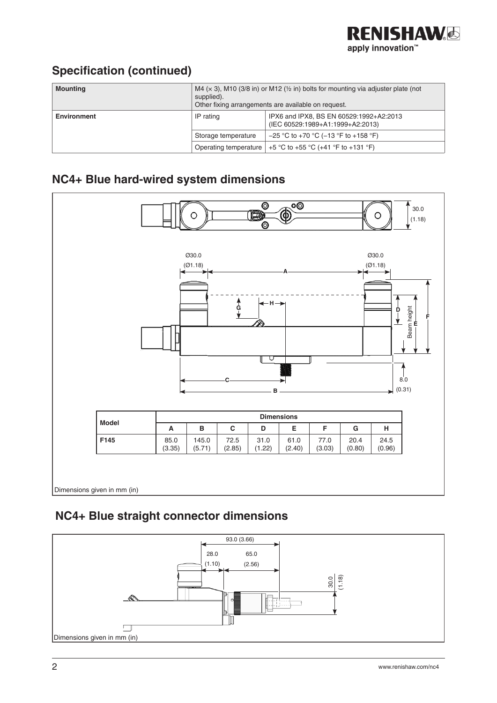

## **Specification (continued)**

| <b>Mounting</b>    | M4 ( $\times$ 3), M10 (3/8 in) or M12 ( $\frac{1}{2}$ in) bolts for mounting via adjuster plate (not<br>supplied).<br>Other fixing arrangements are available on request. |                                                                             |
|--------------------|---------------------------------------------------------------------------------------------------------------------------------------------------------------------------|-----------------------------------------------------------------------------|
| <b>Environment</b> | IP rating                                                                                                                                                                 | IPX6 and IPX8, BS EN 60529:1992+A2:2013<br>(IEC 60529:1989+A1:1999+A2:2013) |
|                    | Storage temperature                                                                                                                                                       | $-25$ °C to +70 °C (-13 °F to +158 °F)                                      |
|                    | Operating temperature                                                                                                                                                     | +5 °C to +55 °C (+41 °F to +131 °F)                                         |

# **NC4+ Blue hard-wired system dimensions**



## **NC4+ Blue straight connector dimensions**

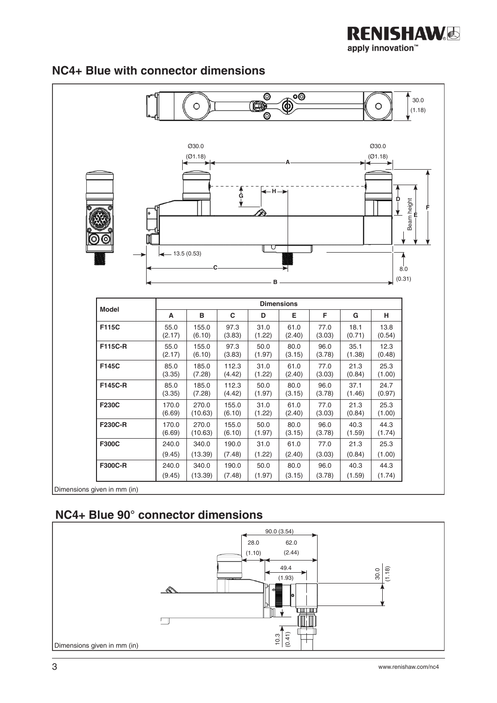



#### **NC4+ Blue with connector dimensions**

 **NC4+ Blue 90° connector dimensions**